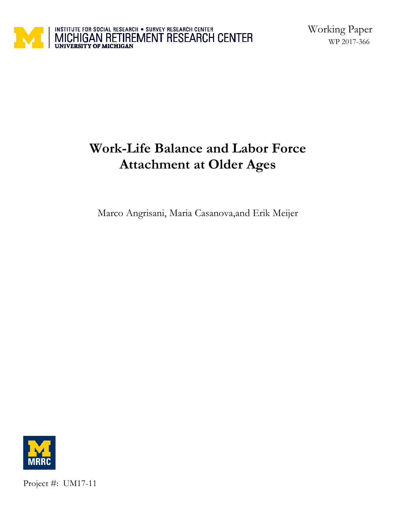

# **Work-Life Balance and Labor Force Attachment at Older Ages**

Marco Angrisani, Maria Casanova,and Erik Meijer



Project #: UM17-11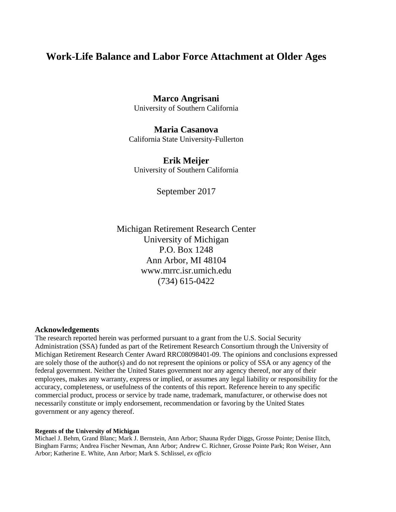## **Work-Life Balance and Labor Force Attachment at Older Ages**

**Marco Angrisani**  University of Southern California

**Maria Casanova**  California State University-Fullerton

**Erik Meijer**  University of Southern California

September 2017

Michigan Retirement Research Center University of Michigan P.O. Box 1248 Ann Arbor, MI 48104 www.mrrc.isr.umich.edu (734) 615-0422

#### **Acknowledgements**

 The research reported herein was performed pursuant to a grant from the U.S. Social Security are solely those of the author(s) and do not represent the opinions or policy of SSA or any agency of the commercial product, process or service by trade name, trademark, manufacturer, or otherwise does not necessarily constitute or imply endorsement, recommendation or favoring by the United States Administration (SSA) funded as part of the Retirement Research Consortium through the University of Michigan Retirement Research Center Award RRC08098401-09. The opinions and conclusions expressed federal government. Neither the United States government nor any agency thereof, nor any of their employees, makes any warranty, express or implied, or assumes any legal liability or responsibility for the accuracy, completeness, or usefulness of the contents of this report. Reference herein to any specific government or any agency thereof.

#### **Regents of the University of Michigan**

 Michael J. Behm, Grand Blanc; Mark J. Bernstein, Ann Arbor; Shauna Ryder Diggs, Grosse Pointe; Denise Ilitch, Bingham Farms; Andrea Fischer Newman, Ann Arbor; Andrew C. Richner, Grosse Pointe Park; Ron Weiser, Ann Arbor; Katherine E. White, Ann Arbor; Mark S. Schlissel, *ex officio*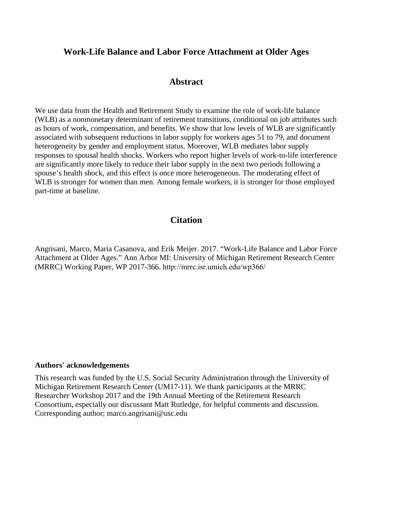## **Work-Life Balance and Labor Force Attachment at Older Ages**

## **Abstract**

We use data from the Health and Retirement Study to examine the role of work-life balance (WLB) as a nonmonetary determinant of retirement transitions, conditional on job attributes such as hours of work, compensation, and benefits. We show that low levels of WLB are significantly associated with subsequent reductions in labor supply for workers ages 51 to 79, and document heterogeneity by gender and employment status. Moreover, WLB mediates labor supply responses to spousal health shocks. Workers who report higher levels of work-to-life interference are significantly more likely to reduce their labor supply in the next two periods following a spouse's health shock, and this effect is once more heterogeneous. The moderating effect of WLB is stronger for women than men. Among female workers, it is stronger for those employed part-time at baseline.

## **Citation**

Angrisani, Marco, Maria Casanova, and Erik Meijer. 2017. "Work-Life Balance and Labor Force Attachment at Older Ages." Ann Arbor MI: University of Michigan Retirement Research Center (MRRC) Working Paper, WP 2017-366. http://mrrc.isr.umich.edu/wp366/

#### **Authors' acknowledgements**

This research was funded by the U.S. Social Security Administration through the University of Michigan Retirement Research Center (UM17-11). We thank participants at the MRRC Researcher Workshop 2017 and the 19th Annual Meeting of the Retirement Research Consortium, especially our discussant Matt Rutledge, for helpful comments and discussion. Corresponding author; [marco.angrisani@usc.edu](mailto:marco.angrisani@usc.edu)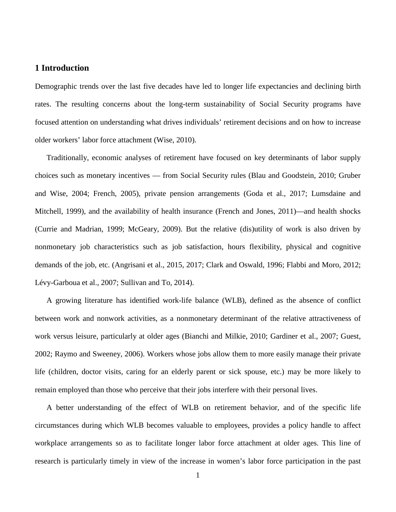## **1 Introduction**

Demographic trends over the last five decades have led to longer life expectancies and declining birth rates. The resulting concerns about the long-term sustainability of Social Security programs have focused attention on understanding what drives individuals' retirement decisions and on how to increase older workers' labor force attachment (Wise, 2010).

 choices such as monetary incentives — from Social Security rules (Blau and Goodstein, 2010; Gruber and Wise, 2004; French, 2005), private pension arrangements (Goda et al., 2017; Lumsdaine and Traditionally, economic analyses of retirement have focused on key determinants of labor supply Mitchell, 1999), and the availability of health insurance (French and Jones, 2011)—and health shocks (Currie and Madrian, 1999; McGeary, 2009). But the relative (dis)utility of work is also driven by nonmonetary job characteristics such as job satisfaction, hours flexibility, physical and cognitive demands of the job, etc. (Angrisani et al., 2015, 2017; Clark and Oswald, 1996; Flabbi and Moro, 2012; Lévy-Garboua et al., 2007; Sullivan and To, 2014).

A growing literature has identified work-life balance (WLB), defined as the absence of conflict between work and nonwork activities, as a nonmonetary determinant of the relative attractiveness of work versus leisure, particularly at older ages (Bianchi and Milkie, 2010; Gardiner et al., 2007; Guest, 2002; Raymo and Sweeney, 2006). Workers whose jobs allow them to more easily manage their private life (children, doctor visits, caring for an elderly parent or sick spouse, etc.) may be more likely to remain employed than those who perceive that their jobs interfere with their personal lives.

A better understanding of the effect of WLB on retirement behavior, and of the specific life circumstances during which WLB becomes valuable to employees, provides a policy handle to affect workplace arrangements so as to facilitate longer labor force attachment at older ages. This line of research is particularly timely in view of the increase in women's labor force participation in the past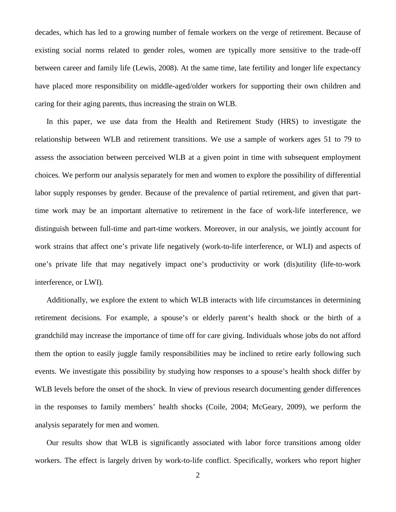between career and family life (Lewis, 2008). At the same time, late fertility and longer life expectancy decades, which has led to a growing number of female workers on the verge of retirement. Because of existing social norms related to gender roles, women are typically more sensitive to the trade-off have placed more responsibility on middle-aged/older workers for supporting their own children and caring for their aging parents, thus increasing the strain on WLB.

 distinguish between full-time and part-time workers. Moreover, in our analysis, we jointly account for one's private life that may negatively impact one's productivity or work (dis)utility (life-to-work In this paper, we use data from the Health and Retirement Study (HRS) to investigate the relationship between WLB and retirement transitions. We use a sample of workers ages 51 to 79 to assess the association between perceived WLB at a given point in time with subsequent employment choices. We perform our analysis separately for men and women to explore the possibility of differential labor supply responses by gender. Because of the prevalence of partial retirement, and given that parttime work may be an important alternative to retirement in the face of work-life interference, we work strains that affect one's private life negatively (work-to-life interference, or WLI) and aspects of interference, or LWI).

 them the option to easily juggle family responsibilities may be inclined to retire early following such Additionally, we explore the extent to which WLB interacts with life circumstances in determining retirement decisions. For example, a spouse's or elderly parent's health shock or the birth of a grandchild may increase the importance of time off for care giving. Individuals whose jobs do not afford events. We investigate this possibility by studying how responses to a spouse's health shock differ by WLB levels before the onset of the shock. In view of previous research documenting gender differences in the responses to family members' health shocks (Coile, 2004; McGeary, 2009), we perform the analysis separately for men and women.

Our results show that WLB is significantly associated with labor force transitions among older workers. The effect is largely driven by work-to-life conflict. Specifically, workers who report higher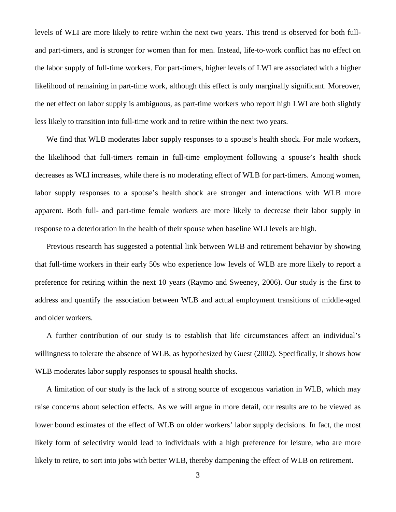levels of WLI are more likely to retire within the next two years. This trend is observed for both fulland part-timers, and is stronger for women than for men. Instead, life-to-work conflict has no effect on the labor supply of full-time workers. For part-timers, higher levels of LWI are associated with a higher likelihood of remaining in part-time work, although this effect is only marginally significant. Moreover, the net effect on labor supply is ambiguous, as part-time workers who report high LWI are both slightly less likely to transition into full-time work and to retire within the next two years.

 labor supply responses to a spouse's health shock are stronger and interactions with WLB more apparent. Both full- and part-time female workers are more likely to decrease their labor supply in We find that WLB moderates labor supply responses to a spouse's health shock. For male workers, the likelihood that full-timers remain in full-time employment following a spouse's health shock decreases as WLI increases, while there is no moderating effect of WLB for part-timers. Among women, response to a deterioration in the health of their spouse when baseline WLI levels are high.

Previous research has suggested a potential link between WLB and retirement behavior by showing that full-time workers in their early 50s who experience low levels of WLB are more likely to report a preference for retiring within the next 10 years (Raymo and Sweeney, 2006). Our study is the first to address and quantify the association between WLB and actual employment transitions of middle-aged and older workers.

 willingness to tolerate the absence of WLB, as hypothesized by Guest (2002). Specifically, it shows how A further contribution of our study is to establish that life circumstances affect an individual's WLB moderates labor supply responses to spousal health shocks.

 likely to retire, to sort into jobs with better WLB, thereby dampening the effect of WLB on retirement. A limitation of our study is the lack of a strong source of exogenous variation in WLB, which may raise concerns about selection effects. As we will argue in more detail, our results are to be viewed as lower bound estimates of the effect of WLB on older workers' labor supply decisions. In fact, the most likely form of selectivity would lead to individuals with a high preference for leisure, who are more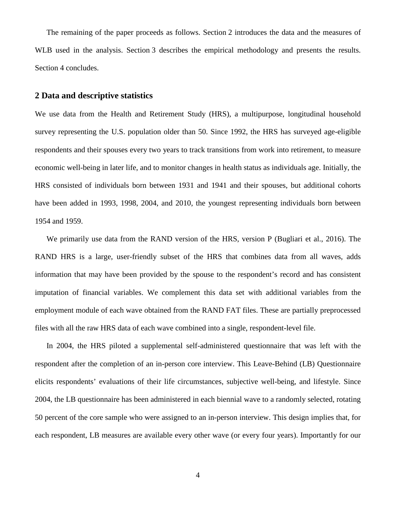The remaining of the paper proceeds as follows. Section 2 introduces the data and the measures of WLB used in the analysis. Section 3 describes the empirical methodology and presents the results. Section 4 concludes.

### **2 Data and descriptive statistics**

We use data from the Health and Retirement Study (HRS), a multipurpose, longitudinal household survey representing the U.S. population older than 50. Since 1992, the HRS has surveyed age-eligible respondents and their spouses every two years to track transitions from work into retirement, to measure economic well-being in later life, and to monitor changes in health status as individuals age. Initially, the HRS consisted of individuals born between 1931 and 1941 and their spouses, but additional cohorts have been added in 1993, 1998, 2004, and 2010, the youngest representing individuals born between 1954 and 1959.

We primarily use data from the RAND version of the HRS, version P (Bugliari et al., 2016). The RAND HRS is a large, user-friendly subset of the HRS that combines data from all waves, adds information that may have been provided by the spouse to the respondent's record and has consistent imputation of financial variables. We complement this data set with additional variables from the employment module of each wave obtained from the RAND FAT files. These are partially preprocessed files with all the raw HRS data of each wave combined into a single, respondent-level file.

 respondent after the completion of an in-person core interview. This Leave-Behind (LB) Questionnaire elicits respondents' evaluations of their life circumstances, subjective well-being, and lifestyle. Since 50 percent of the core sample who were assigned to an in-person interview. This design implies that, for each respondent, LB measures are available every other wave (or every four years). Importantly for our In 2004, the HRS piloted a supplemental self-administered questionnaire that was left with the 2004, the LB questionnaire has been administered in each biennial wave to a randomly selected, rotating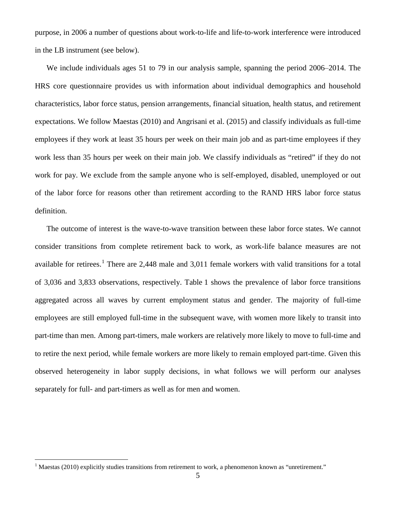purpose, in 2006 a number of questions about work-to-life and life-to-work interference were introduced in the LB instrument (see below).

 expectations. We follow Maestas (2010) and Angrisani et al. (2015) and classify individuals as full-time We include individuals ages 51 to 79 in our analysis sample, spanning the period 2006–2014. The HRS core questionnaire provides us with information about individual demographics and household characteristics, labor force status, pension arrangements, financial situation, health status, and retirement employees if they work at least 35 hours per week on their main job and as part-time employees if they work less than 35 hours per week on their main job. We classify individuals as "retired" if they do not work for pay. We exclude from the sample anyone who is self-employed, disabled, unemployed or out of the labor force for reasons other than retirement according to the RAND HRS labor force status definition.

 of 3,036 and 3,833 observations, respectively. Table 1 shows the prevalence of labor force transitions aggregated across all waves by current employment status and gender. The majority of full-time The outcome of interest is the wave-to-wave transition between these labor force states. We cannot consider transitions from complete retirement back to work, as work-life balance measures are not available for retirees.<sup>1</sup> There are 2,448 male and 3,01[1](#page-7-0) female workers with valid transitions for a total employees are still employed full-time in the subsequent wave, with women more likely to transit into part-time than men. Among part-timers, male workers are relatively more likely to move to full-time and to retire the next period, while female workers are more likely to remain employed part-time. Given this observed heterogeneity in labor supply decisions, in what follows we will perform our analyses separately for full- and part-timers as well as for men and women.

 $\overline{a}$ 

<span id="page-7-0"></span> $1$  Maestas (2010) explicitly studies transitions from retirement to work, a phenomenon known as "unretirement."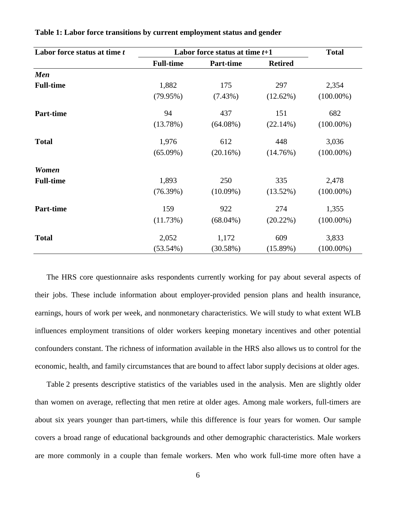| Labor force status at time t | Labor force status at time $t+1$ | <b>Total</b>     |                |              |
|------------------------------|----------------------------------|------------------|----------------|--------------|
|                              | <b>Full-time</b>                 | <b>Part-time</b> | <b>Retired</b> |              |
| <b>Men</b>                   |                                  |                  |                |              |
| <b>Full-time</b>             | 1,882                            | 175              | 297            | 2,354        |
|                              | (79.95%)                         | $(7.43\%)$       | (12.62%)       | $(100.00\%)$ |
| <b>Part-time</b>             | 94                               | 437              | 151            | 682          |
|                              | (13.78%)                         | $(64.08\%)$      | (22.14%)       | $(100.00\%)$ |
| <b>Total</b>                 | 1,976                            | 612              | 448            | 3,036        |
|                              | $(65.09\%)$                      | (20.16%)         | (14.76%)       | $(100.00\%)$ |
| Women                        |                                  |                  |                |              |
| <b>Full-time</b>             | 1,893                            | 250              | 335            | 2,478        |
|                              | (76.39%)                         | $(10.09\%)$      | (13.52%)       | $(100.00\%)$ |
| <b>Part-time</b>             | 159                              | 922              | 274            | 1,355        |
|                              | (11.73%)                         | $(68.04\%)$      | (20.22%)       | $(100.00\%)$ |
| <b>Total</b>                 | 2,052                            | 1,172            | 609            | 3,833        |
|                              | $(53.54\%)$                      | (30.58%)         | (15.89%)       | $(100.00\%)$ |

**Table 1: Labor force transitions by current employment status and gender** 

 The HRS core questionnaire asks respondents currently working for pay about several aspects of their jobs. These include information about employer-provided pension plans and health insurance, earnings, hours of work per week, and nonmonetary characteristics. We will study to what extent WLB influences employment transitions of older workers keeping monetary incentives and other potential confounders constant. The richness of information available in the HRS also allows us to control for the economic, health, and family circumstances that are bound to affect labor supply decisions at older ages.

 Table 2 presents descriptive statistics of the variables used in the analysis. Men are slightly older about six years younger than part-timers, while this difference is four years for women. Our sample than women on average, reflecting that men retire at older ages. Among male workers, full-timers are covers a broad range of educational backgrounds and other demographic characteristics. Male workers are more commonly in a couple than female workers. Men who work full-time more often have a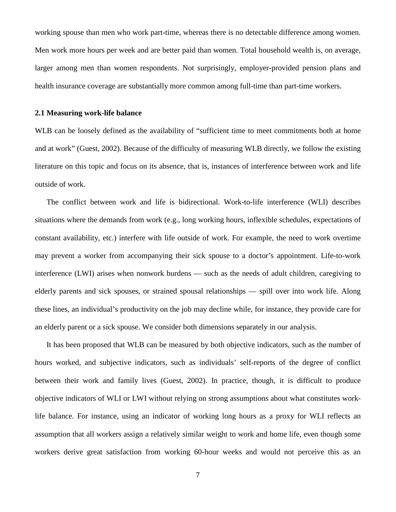working spouse than men who work part-time, whereas there is no detectable difference among women. Men work more hours per week and are better paid than women. Total household wealth is, on average, larger among men than women respondents. Not surprisingly, employer-provided pension plans and health insurance coverage are substantially more common among full-time than part-time workers.

#### **2.1 Measuring work-life balance**

WLB can be loosely defined as the availability of "sufficient time to meet commitments both at home and at work" (Guest, 2002). Because of the difficulty of measuring WLB directly, we follow the existing literature on this topic and focus on its absence, that is, instances of interference between work and life outside of work.

 interference (LWI) arises when nonwork burdens — such as the needs of adult children, caregiving to elderly parents and sick spouses, or strained spousal relationships — spill over into work life. Along The conflict between work and life is bidirectional. Work-to-life interference (WLI) describes situations where the demands from work (e.g., long working hours, inflexible schedules, expectations of constant availability, etc.) interfere with life outside of work. For example, the need to work overtime may prevent a worker from accompanying their sick spouse to a doctor's appointment. Life-to-work these lines, an individual's productivity on the job may decline while, for instance, they provide care for an elderly parent or a sick spouse. We consider both dimensions separately in our analysis.

 workers derive great satisfaction from working 60-hour weeks and would not perceive this as an It has been proposed that WLB can be measured by both objective indicators, such as the number of hours worked, and subjective indicators, such as individuals' self-reports of the degree of conflict between their work and family lives (Guest, 2002). In practice, though, it is difficult to produce objective indicators of WLI or LWI without relying on strong assumptions about what constitutes worklife balance. For instance, using an indicator of working long hours as a proxy for WLI reflects an assumption that all workers assign a relatively similar weight to work and home life, even though some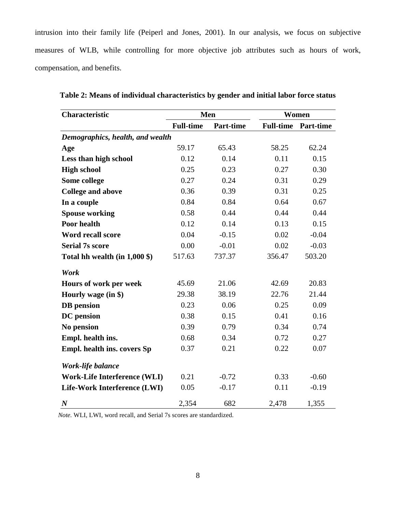intrusion into their family life (Peiperl and Jones, 2001). In our analysis, we focus on subjective measures of WLB, while controlling for more objective job attributes such as hours of work, compensation, and benefits.

| Characteristic                      | Men              |                  | Women            |                  |  |
|-------------------------------------|------------------|------------------|------------------|------------------|--|
|                                     | <b>Full-time</b> | <b>Part-time</b> | <b>Full-time</b> | <b>Part-time</b> |  |
| Demographics, health, and wealth    |                  |                  |                  |                  |  |
| Age                                 | 59.17            | 65.43            | 58.25            | 62.24            |  |
| Less than high school               | 0.12             | 0.14             | 0.11             | 0.15             |  |
| <b>High school</b>                  | 0.25             | 0.23             | 0.27             | 0.30             |  |
| Some college                        | 0.27             | 0.24             | 0.31             | 0.29             |  |
| <b>College and above</b>            | 0.36             | 0.39             | 0.31             | 0.25             |  |
| In a couple                         | 0.84             | 0.84             | 0.64             | 0.67             |  |
| <b>Spouse working</b>               | 0.58             | 0.44             | 0.44             | 0.44             |  |
| Poor health                         | 0.12             | 0.14             | 0.13             | 0.15             |  |
| <b>Word recall score</b>            | 0.04             | $-0.15$          | 0.02             | $-0.04$          |  |
| <b>Serial 7s score</b>              | 0.00             | $-0.01$          | 0.02             | $-0.03$          |  |
| Total hh wealth (in $1,000$ \$)     | 517.63           | 737.37           | 356.47           | 503.20           |  |
| Work                                |                  |                  |                  |                  |  |
| Hours of work per week              | 45.69            | 21.06            | 42.69            | 20.83            |  |
| Hourly wage (in \$)                 | 29.38            | 38.19            | 22.76            | 21.44            |  |
| <b>DB</b> pension                   | 0.23             | 0.06             | 0.25             | 0.09             |  |
| <b>DC</b> pension                   | 0.38             | 0.15             | 0.41             | 0.16             |  |
| No pension                          | 0.39             | 0.79             | 0.34             | 0.74             |  |
| Empl. health ins.                   | 0.68             | 0.34             | 0.72             | 0.27             |  |
| Empl. health ins. covers Sp         | 0.37             | 0.21             | 0.22             | 0.07             |  |
| Work-life balance                   |                  |                  |                  |                  |  |
| <b>Work-Life Interference (WLI)</b> | 0.21             | $-0.72$          | 0.33             | $-0.60$          |  |
| Life-Work Interference (LWI)        | 0.05             | $-0.17$          | 0.11             | $-0.19$          |  |
| $\boldsymbol{N}$                    | 2,354            | 682              | 2,478            | 1,355            |  |

**Table 2: Means of individual characteristics by gender and initial labor force status** 

*Note.* WLI, LWI, word recall, and Serial 7s scores are standardized.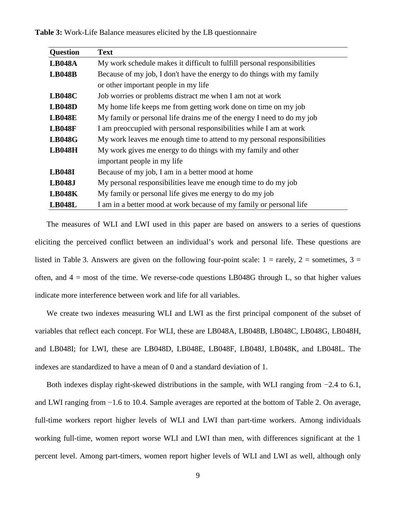**Table 3:** Work-Life Balance measures elicited by the LB questionnaire

| <b>Question</b> | <b>Text</b>                                                              |  |  |  |  |  |
|-----------------|--------------------------------------------------------------------------|--|--|--|--|--|
| <b>LB048A</b>   | My work schedule makes it difficult to fulfill personal responsibilities |  |  |  |  |  |
| <b>LB048B</b>   | Because of my job, I don't have the energy to do things with my family   |  |  |  |  |  |
|                 | or other important people in my life                                     |  |  |  |  |  |
| <b>LB048C</b>   | Job worries or problems distract me when I am not at work                |  |  |  |  |  |
| <b>LB048D</b>   | My home life keeps me from getting work done on time on my job           |  |  |  |  |  |
| <b>LB048E</b>   | My family or personal life drains me of the energy I need to do my job   |  |  |  |  |  |
| <b>LB048F</b>   | I am preoccupied with personal responsibilities while I am at work       |  |  |  |  |  |
| <b>LB048G</b>   | My work leaves me enough time to attend to my personal responsibilities  |  |  |  |  |  |
| <b>LB048H</b>   | My work gives me energy to do things with my family and other            |  |  |  |  |  |
|                 | important people in my life                                              |  |  |  |  |  |
| <b>LB048I</b>   | Because of my job, I am in a better mood at home                         |  |  |  |  |  |
| <b>LB048J</b>   | My personal responsibilities leave me enough time to do my job           |  |  |  |  |  |
| <b>LB048K</b>   | My family or personal life gives me energy to do my job                  |  |  |  |  |  |
| <b>LB048L</b>   | I am in a better mood at work because of my family or personal life      |  |  |  |  |  |

The measures of WLI and LWI used in this paper are based on answers to a series of questions eliciting the perceived conflict between an individual's work and personal life. These questions are listed in Table 3. Answers are given on the following four-point scale:  $1 = \text{rarely}, 2 = \text{sometimes}, 3 =$ often, and  $4 =$  most of the time. We reverse-code questions LB048G through L, so that higher values indicate more interference between work and life for all variables.

indexes are standardized to have a mean of 0 and a standard deviation of 1. We create two indexes measuring WLI and LWI as the first principal component of the subset of variables that reflect each concept. For WLI, these are LB048A, LB048B, LB048C, LB048G, LB048H, and LB048I; for LWI, these are LB048D, LB048E, LB048F, LB048J, LB048K, and LB048L. The

 full-time workers report higher levels of WLI and LWI than part-time workers. Among individuals percent level. Among part-timers, women report higher levels of WLI and LWI as well, although only Both indexes display right-skewed distributions in the sample, with WLI ranging from  $-2.4$  to 6.1, and LWI ranging from −1.6 to 10.4. Sample averages are reported at the bottom of Table 2. On average, working full-time, women report worse WLI and LWI than men, with differences significant at the 1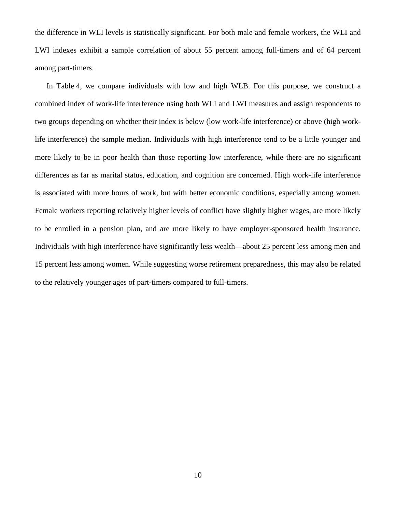LWI indexes exhibit a sample correlation of about 55 percent among full-timers and of 64 percent the difference in WLI levels is statistically significant. For both male and female workers, the WLI and among part-timers.

 Individuals with high interference have significantly less wealth—about 25 percent less among men and 15 percent less among women. While suggesting worse retirement preparedness, this may also be related to the relatively younger ages of part-timers compared to full-timers. In Table 4, we compare individuals with low and high WLB. For this purpose, we construct a combined index of work-life interference using both WLI and LWI measures and assign respondents to two groups depending on whether their index is below (low work-life interference) or above (high worklife interference) the sample median. Individuals with high interference tend to be a little younger and more likely to be in poor health than those reporting low interference, while there are no significant differences as far as marital status, education, and cognition are concerned. High work-life interference is associated with more hours of work, but with better economic conditions, especially among women. Female workers reporting relatively higher levels of conflict have slightly higher wages, are more likely to be enrolled in a pension plan, and are more likely to have employer-sponsored health insurance.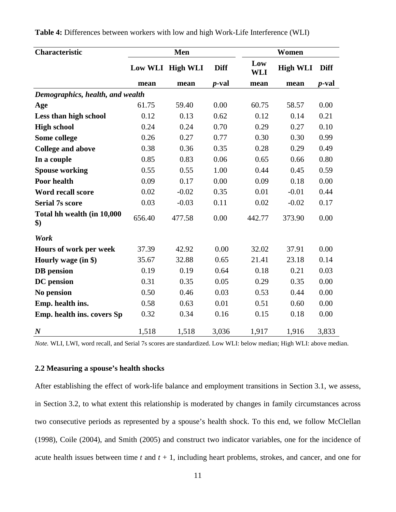| Characteristic                                   | Men    |                  | Women         |            |                 |               |
|--------------------------------------------------|--------|------------------|---------------|------------|-----------------|---------------|
|                                                  |        | Low WLI High WLI | <b>Diff</b>   | Low<br>WLI | <b>High WLI</b> | <b>Diff</b>   |
|                                                  | mean   | mean             | <i>p</i> -val | mean       | mean            | <i>p</i> -val |
| Demographics, health, and wealth                 |        |                  |               |            |                 |               |
| Age                                              | 61.75  | 59.40            | 0.00          | 60.75      | 58.57           | 0.00          |
| Less than high school                            | 0.12   | 0.13             | 0.62          | 0.12       | 0.14            | 0.21          |
| <b>High school</b>                               | 0.24   | 0.24             | 0.70          | 0.29       | 0.27            | 0.10          |
| Some college                                     | 0.26   | 0.27             | 0.77          | 0.30       | 0.30            | 0.99          |
| <b>College and above</b>                         | 0.38   | 0.36             | 0.35          | 0.28       | 0.29            | 0.49          |
| In a couple                                      | 0.85   | 0.83             | 0.06          | 0.65       | 0.66            | 0.80          |
| <b>Spouse working</b>                            | 0.55   | 0.55             | 1.00          | 0.44       | 0.45            | 0.59          |
| Poor health                                      | 0.09   | 0.17             | 0.00          | 0.09       | 0.18            | 0.00          |
| Word recall score                                | 0.02   | $-0.02$          | 0.35          | 0.01       | $-0.01$         | 0.44          |
| <b>Serial 7s score</b>                           | 0.03   | $-0.03$          | 0.11          | 0.02       | $-0.02$         | 0.17          |
| Total hh wealth (in 10,000<br>$\boldsymbol{\$})$ | 656.40 | 477.58           | 0.00          | 442.77     | 373.90          | 0.00          |
| Work                                             |        |                  |               |            |                 |               |
| Hours of work per week                           | 37.39  | 42.92            | 0.00          | 32.02      | 37.91           | 0.00          |
| Hourly wage (in \$)                              | 35.67  | 32.88            | 0.65          | 21.41      | 23.18           | 0.14          |
| <b>DB</b> pension                                | 0.19   | 0.19             | 0.64          | 0.18       | 0.21            | 0.03          |
| <b>DC</b> pension                                | 0.31   | 0.35             | 0.05          | 0.29       | 0.35            | 0.00          |
| No pension                                       | 0.50   | 0.46             | 0.03          | 0.53       | 0.44            | 0.00          |
| Emp. health ins.                                 | 0.58   | 0.63             | 0.01          | 0.51       | 0.60            | 0.00          |
| Emp. health ins. covers Sp                       | 0.32   | 0.34             | 0.16          | 0.15       | 0.18            | 0.00          |
| $\boldsymbol{N}$                                 | 1,518  | 1,518            | 3,036         | 1,917      | 1,916           | 3,833         |

**Table 4:** Differences between workers with low and high Work-Life Interference (WLI)

*Note.* WLI, LWI, word recall, and Serial 7s scores are standardized. Low WLI: below median; High WLI: above median.

## **2.2 Measuring a spouse's health shocks**

After establishing the effect of work-life balance and employment transitions in Section 3.1, we assess, in Section 3.2, to what extent this relationship is moderated by changes in family circumstances across two consecutive periods as represented by a spouse's health shock. To this end, we follow McClellan (1998), Coile (2004), and Smith (2005) and construct two indicator variables, one for the incidence of acute health issues between time  $t$  and  $t + 1$ , including heart problems, strokes, and cancer, and one for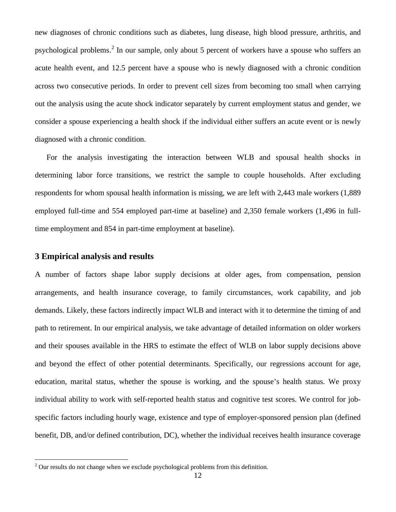psychological problems.<sup>2</sup> In our sample, only about 5 percent of workers have a spouse who suffers an acute health event, and 12.5 percent have a spouse who is newly diagnosed with a chronic condition new diagnoses of chronic conditions such as diabetes, lung disease, high blood pressure, arthritis, and across two consecutive periods. In order to prevent cell sizes from becoming too small when carrying out the analysis using the acute shock indicator separately by current employment status and gender, we consider a spouse experiencing a health shock if the individual either suffers an acute event or is newly diagnosed with a chronic condition.

 respondents for whom spousal health information is missing, we are left with 2,443 male workers (1,889 For the analysis investigating the interaction between WLB and spousal health shocks in determining labor force transitions, we restrict the sample to couple households. After excluding employed full-time and 554 employed part-time at baseline) and 2,350 female workers (1,496 in fulltime employment and 854 in part-time employment at baseline).

## **3 Empirical analysis and results**

 $\overline{a}$ 

A number of factors shape labor supply decisions at older ages, from compensation, pension arrangements, and health insurance coverage, to family circumstances, work capability, and job demands. Likely, these factors indirectly impact WLB and interact with it to determine the timing of and path to retirement. In our empirical analysis, we take advantage of detailed information on older workers and their spouses available in the HRS to estimate the effect of WLB on labor supply decisions above and beyond the effect of other potential determinants. Specifically, our regressions account for age, education, marital status, whether the spouse is working, and the spouse's health status. We proxy individual ability to work with self-reported health status and cognitive test scores. We control for jobspecific factors including hourly wage, existence and type of employer-sponsored pension plan (defined benefit, DB, and/or defined contribution, DC), whether the individual receives health insurance coverage

<span id="page-14-0"></span> $2^{2}$  Our results do not change when we exclude psychological problems from this definition.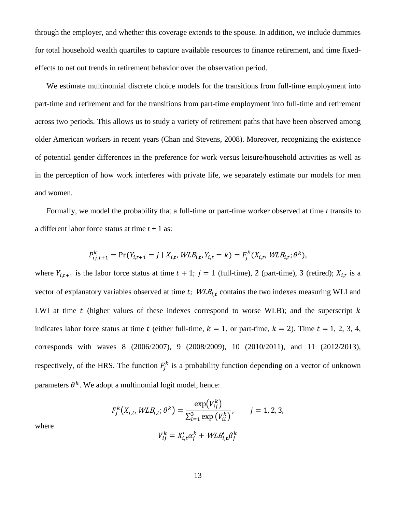effects to net out trends in retirement behavior over the observation period. through the employer, and whether this coverage extends to the spouse. In addition, we include dummies for total household wealth quartiles to capture available resources to finance retirement, and time fixed-

 older American workers in recent years (Chan and Stevens, 2008). Moreover, recognizing the existence in the perception of how work interferes with private life, we separately estimate our models for men and women. We estimate multinomial discrete choice models for the transitions from full-time employment into part-time and retirement and for the transitions from part-time employment into full-time and retirement across two periods. This allows us to study a variety of retirement paths that have been observed among of potential gender differences in the preference for work versus leisure/household activities as well as

 Formally, we model the probability that a full-time or part-time worker observed at time *t* transits to a different labor force status at time *t* + 1 as:

$$
P_{ij,t+1}^k = \Pr(Y_{i,t+1} = j \mid X_{i,t}, \mathit{WLB}_{i,t}, Y_{i,t} = k) = F_j^k(X_{i,t}, \mathit{WLB}_{i,t}; \theta^k),
$$

where  $Y_{i,t+1}$  is the labor force status at time  $t + 1$ ;  $j = 1$  (full-time), 2 (part-time), 3 (retired);  $X_{i,t}$  is a LWI at time  $t$  (higher values of these indexes correspond to worse WLB); and the superscript  $k$ vector of explanatory variables observed at time  $t$ ;  $WLB_{i,t}$  contains the two indexes measuring WLI and indicates labor force status at time t (either full-time,  $k = 1$ , or part-time,  $k = 2$ ). Time  $t = 1, 2, 3, 4$ , corresponds with waves 8 (2006/2007), 9 (2008/2009), 10 (2010/2011), and 11 (2012/2013), respectively, of the HRS. The function  $F_j^k$  is a probability function depending on a vector of unknown parameters  $\theta^k$ . We adopt a multinomial logit model, hence:

$$
F_j^k(X_{i,t}, WLB_{i,t}; \theta^k) = \frac{\exp(V_{ij}^k)}{\sum_{l=1}^3 \exp(V_{il}^k)}, \qquad j = 1, 2, 3,
$$

where

$$
V_{ij}^k = X_{i,t}' \alpha_j^k + W L B_{i,t}' \beta_j^k
$$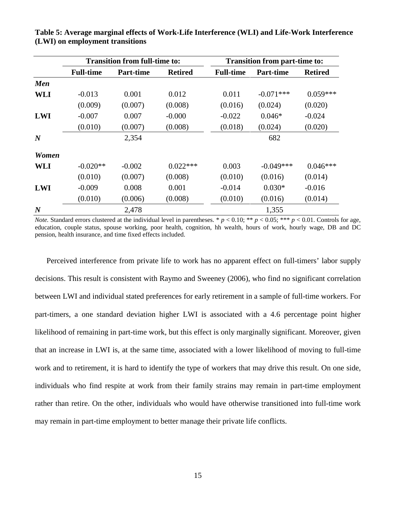|                  | <b>Transition from full-time to:</b> |                  |                | <b>Transition from part-time to:</b> |                  |                |
|------------------|--------------------------------------|------------------|----------------|--------------------------------------|------------------|----------------|
|                  | <b>Full-time</b>                     | <b>Part-time</b> | <b>Retired</b> | <b>Full-time</b>                     | <b>Part-time</b> | <b>Retired</b> |
| <b>Men</b>       |                                      |                  |                |                                      |                  |                |
| <b>WLI</b>       | $-0.013$                             | 0.001            | 0.012          | 0.011                                | $-0.071***$      | $0.059***$     |
|                  | (0.009)                              | (0.007)          | (0.008)        | (0.016)                              | (0.024)          | (0.020)        |
| <b>LWI</b>       | $-0.007$                             | 0.007            | $-0.000$       | $-0.022$                             | $0.046*$         | $-0.024$       |
|                  | (0.010)                              | (0.007)          | (0.008)        | (0.018)                              | (0.024)          | (0.020)        |
| $\boldsymbol{N}$ |                                      | 2,354            |                |                                      | 682              |                |
| <b>Women</b>     |                                      |                  |                |                                      |                  |                |
| WLI              | $-0.020**$                           | $-0.002$         | $0.022***$     | 0.003                                | $-0.049***$      | $0.046***$     |
|                  | (0.010)                              | (0.007)          | (0.008)        | (0.010)                              | (0.016)          | (0.014)        |
| <b>LWI</b>       | $-0.009$                             | 0.008            | 0.001          | $-0.014$                             | $0.030*$         | $-0.016$       |
|                  | (0.010)                              | (0.006)          | (0.008)        | (0.010)                              | (0.016)          | (0.014)        |
| $\boldsymbol{N}$ |                                      | 2,478            |                |                                      | 1,355            |                |

 **Table 5: Average marginal effects of Work-Life Interference (WLI) and Life-Work Interference (LWI) on employment transitions** 

*Note.* Standard errors clustered at the individual level in parentheses. \*  $p < 0.10$ ; \*\*  $p < 0.05$ ; \*\*\*  $p < 0.01$ . Controls for age, education, couple status, spouse working, poor health, cognition, hh wealth, hours of work, hourly wage, DB and DC pension, health insurance, and time fixed effects included.

 decisions. This result is consistent with Raymo and Sweeney (2006), who find no significant correlation that an increase in LWI is, at the same time, associated with a lower likelihood of moving to full-time Perceived interference from private life to work has no apparent effect on full-timers' labor supply between LWI and individual stated preferences for early retirement in a sample of full-time workers. For part-timers, a one standard deviation higher LWI is associated with a 4.6 percentage point higher likelihood of remaining in part-time work, but this effect is only marginally significant. Moreover, given work and to retirement, it is hard to identify the type of workers that may drive this result. On one side, individuals who find respite at work from their family strains may remain in part-time employment rather than retire. On the other, individuals who would have otherwise transitioned into full-time work may remain in part-time employment to better manage their private life conflicts.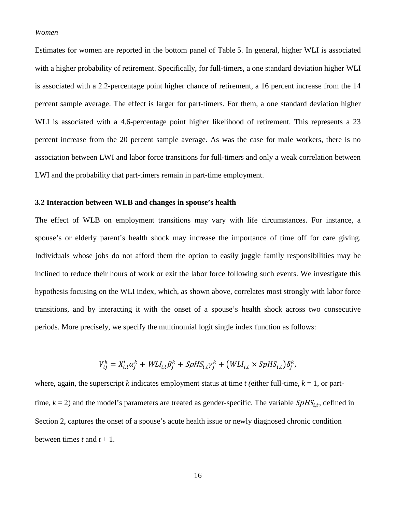#### *Women*

 with a higher probability of retirement. Specifically, for full-timers, a one standard deviation higher WLI is associated with a 2.2-percentage point higher chance of retirement, a 16 percent increase from the 14 percent increase from the 20 percent sample average. As was the case for male workers, there is no Estimates for women are reported in the bottom panel of Table 5. In general, higher WLI is associated percent sample average. The effect is larger for part-timers. For them, a one standard deviation higher WLI is associated with a 4.6-percentage point higher likelihood of retirement. This represents a 23 association between LWI and labor force transitions for full-timers and only a weak correlation between LWI and the probability that part-timers remain in part-time employment.

## **3.2 Interaction between WLB and changes in spouse's health**

 The effect of WLB on employment transitions may vary with life circumstances. For instance, a spouse's or elderly parent's health shock may increase the importance of time off for care giving. Individuals whose jobs do not afford them the option to easily juggle family responsibilities may be inclined to reduce their hours of work or exit the labor force following such events. We investigate this hypothesis focusing on the WLI index, which, as shown above, correlates most strongly with labor force transitions, and by interacting it with the onset of a spouse's health shock across two consecutive periods. More precisely, we specify the multinomial logit single index function as follows:

$$
V_{ij}^k = X_{i,t}^{\prime} \alpha_j^k + W L I_{i,t} \beta_j^k + S p H S_{i,t} \gamma_j^k + (W L I_{i,t} \times S p H S_{i,t}) \delta_j^k,
$$

where, again, the superscript *k* indicates employment status at time *t* (either full-time,  $k = 1$ , or parttime,  $k = 2$ ) and the model's parameters are treated as gender-specific. The variable  $SphS<sub>i,t</sub>$ , defined in Section 2, captures the onset of a spouse's acute health issue or newly diagnosed chronic condition between times  $t$  and  $t + 1$ .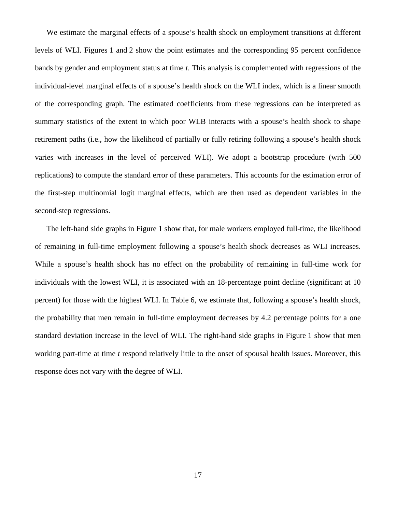levels of WLI. Figures 1 and 2 show the point estimates and the corresponding 95 percent confidence bands by gender and employment status at time *t*. This analysis is complemented with regressions of the We estimate the marginal effects of a spouse's health shock on employment transitions at different individual-level marginal effects of a spouse's health shock on the WLI index, which is a linear smooth of the corresponding graph. The estimated coefficients from these regressions can be interpreted as summary statistics of the extent to which poor WLB interacts with a spouse's health shock to shape retirement paths (i.e., how the likelihood of partially or fully retiring following a spouse's health shock varies with increases in the level of perceived WLI). We adopt a bootstrap procedure (with 500 replications) to compute the standard error of these parameters. This accounts for the estimation error of the first-step multinomial logit marginal effects, which are then used as dependent variables in the second-step regressions.

 The left-hand side graphs in Figure 1 show that, for male workers employed full-time, the likelihood standard deviation increase in the level of WLI. The right-hand side graphs in Figure 1 show that men of remaining in full-time employment following a spouse's health shock decreases as WLI increases. While a spouse's health shock has no effect on the probability of remaining in full-time work for individuals with the lowest WLI, it is associated with an 18-percentage point decline (significant at 10 percent) for those with the highest WLI. In Table 6, we estimate that, following a spouse's health shock, the probability that men remain in full-time employment decreases by 4.2 percentage points for a one working part-time at time *t* respond relatively little to the onset of spousal health issues. Moreover, this response does not vary with the degree of WLI.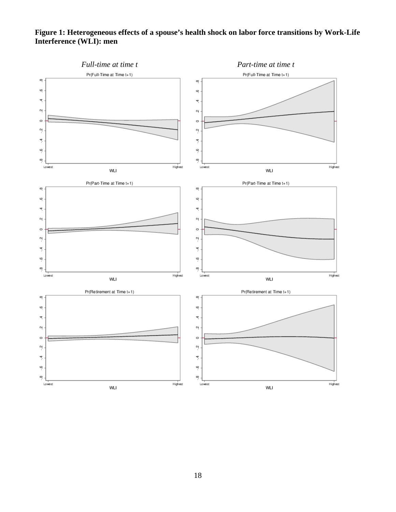## **Figure 1: Heterogeneous effects of a spouse's health shock on labor force transitions by Work-Life Interference (WLI): men**

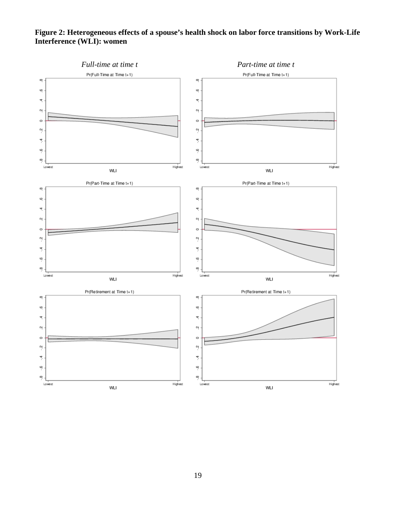## **Figure 2: Heterogeneous effects of a spouse's health shock on labor force transitions by Work-Life Interference (WLI): women**

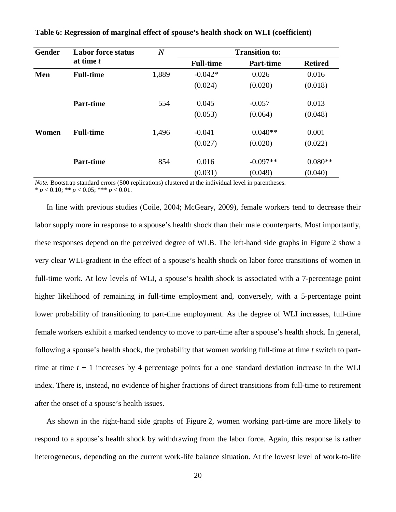| <b>Gender</b> | <b>Labor force status</b> | $\boldsymbol{N}$ | <b>Transition to:</b> |                  |                |  |  |
|---------------|---------------------------|------------------|-----------------------|------------------|----------------|--|--|
|               | at time t                 |                  | <b>Full-time</b>      | <b>Part-time</b> | <b>Retired</b> |  |  |
| Men           | <b>Full-time</b>          | 1,889            | $-0.042*$             | 0.026            | 0.016          |  |  |
|               |                           |                  | (0.024)               | (0.020)          | (0.018)        |  |  |
|               | <b>Part-time</b>          | 554              | 0.045                 | $-0.057$         | 0.013          |  |  |
|               |                           |                  | (0.053)               | (0.064)          | (0.048)        |  |  |
| Women         | <b>Full-time</b>          | 1,496            | $-0.041$              | $0.040**$        | 0.001          |  |  |
|               |                           |                  | (0.027)               | (0.020)          | (0.022)        |  |  |
|               | <b>Part-time</b>          | 854              | 0.016                 | $-0.097**$       | $0.080**$      |  |  |
|               |                           |                  | (0.031)               | (0.049)          | (0.040)        |  |  |

**Table 6: Regression of marginal effect of spouse's health shock on WLI (coefficient)** 

*Note.* Bootstrap standard errors (500 replications) clustered at the individual level in parentheses.

 $* p < 0.10; ** p < 0.05; ** p < 0.01.$ 

 these responses depend on the perceived degree of WLB. The left-hand side graphs in Figure 2 show a female workers exhibit a marked tendency to move to part-time after a spouse's health shock. In general, In line with previous studies (Coile, 2004; McGeary, 2009), female workers tend to decrease their labor supply more in response to a spouse's health shock than their male counterparts. Most importantly, very clear WLI-gradient in the effect of a spouse's health shock on labor force transitions of women in full-time work. At low levels of WLI, a spouse's health shock is associated with a 7-percentage point higher likelihood of remaining in full-time employment and, conversely, with a 5-percentage point lower probability of transitioning to part-time employment. As the degree of WLI increases, full-time following a spouse's health shock, the probability that women working full-time at time *t* switch to parttime at time  $t + 1$  increases by 4 percentage points for a one standard deviation increase in the WLI index. There is, instead, no evidence of higher fractions of direct transitions from full-time to retirement after the onset of a spouse's health issues.

 As shown in the right-hand side graphs of Figure 2, women working part-time are more likely to respond to a spouse's health shock by withdrawing from the labor force. Again, this response is rather heterogeneous, depending on the current work-life balance situation. At the lowest level of work-to-life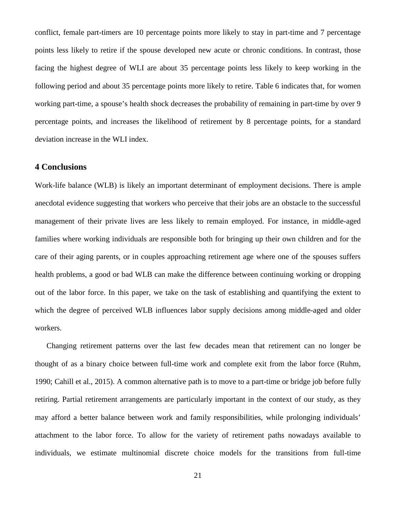following period and about 35 percentage points more likely to retire. Table 6 indicates that, for women working part-time, a spouse's health shock decreases the probability of remaining in part-time by over 9 deviation increase in the WLI index. conflict, female part-timers are 10 percentage points more likely to stay in part-time and 7 percentage points less likely to retire if the spouse developed new acute or chronic conditions. In contrast, those facing the highest degree of WLI are about 35 percentage points less likely to keep working in the percentage points, and increases the likelihood of retirement by 8 percentage points, for a standard

## **4 Conclusions**

 Work-life balance (WLB) is likely an important determinant of employment decisions. There is ample anecdotal evidence suggesting that workers who perceive that their jobs are an obstacle to the successful management of their private lives are less likely to remain employed. For instance, in middle-aged families where working individuals are responsible both for bringing up their own children and for the care of their aging parents, or in couples approaching retirement age where one of the spouses suffers health problems, a good or bad WLB can make the difference between continuing working or dropping out of the labor force. In this paper, we take on the task of establishing and quantifying the extent to which the degree of perceived WLB influences labor supply decisions among middle-aged and older workers.

 Changing retirement patterns over the last few decades mean that retirement can no longer be individuals, we estimate multinomial discrete choice models for the transitions from full-time thought of as a binary choice between full-time work and complete exit from the labor force (Ruhm, 1990; Cahill et al., 2015). A common alternative path is to move to a part-time or bridge job before fully retiring. Partial retirement arrangements are particularly important in the context of our study, as they may afford a better balance between work and family responsibilities, while prolonging individuals' attachment to the labor force. To allow for the variety of retirement paths nowadays available to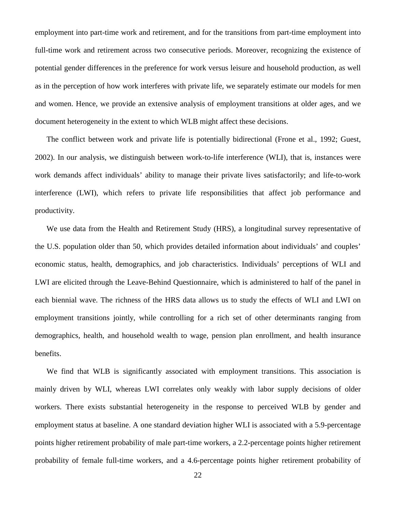potential gender differences in the preference for work versus leisure and household production, as well employment into part-time work and retirement, and for the transitions from part-time employment into full-time work and retirement across two consecutive periods. Moreover, recognizing the existence of as in the perception of how work interferes with private life, we separately estimate our models for men and women. Hence, we provide an extensive analysis of employment transitions at older ages, and we document heterogeneity in the extent to which WLB might affect these decisions.

 The conflict between work and private life is potentially bidirectional (Frone et al., 1992; Guest, 2002). In our analysis, we distinguish between work-to-life interference (WLI), that is, instances were work demands affect individuals' ability to manage their private lives satisfactorily; and life-to-work interference (LWI), which refers to private life responsibilities that affect job performance and productivity.

 each biennial wave. The richness of the HRS data allows us to study the effects of WLI and LWI on We use data from the Health and Retirement Study (HRS), a longitudinal survey representative of the U.S. population older than 50, which provides detailed information about individuals' and couples' economic status, health, demographics, and job characteristics. Individuals' perceptions of WLI and LWI are elicited through the Leave-Behind Questionnaire, which is administered to half of the panel in employment transitions jointly, while controlling for a rich set of other determinants ranging from demographics, health, and household wealth to wage, pension plan enrollment, and health insurance benefits.

 We find that WLB is significantly associated with employment transitions. This association is probability of female full-time workers, and a 4.6-percentage points higher retirement probability of mainly driven by WLI, whereas LWI correlates only weakly with labor supply decisions of older workers. There exists substantial heterogeneity in the response to perceived WLB by gender and employment status at baseline. A one standard deviation higher WLI is associated with a 5.9-percentage points higher retirement probability of male part-time workers, a 2.2-percentage points higher retirement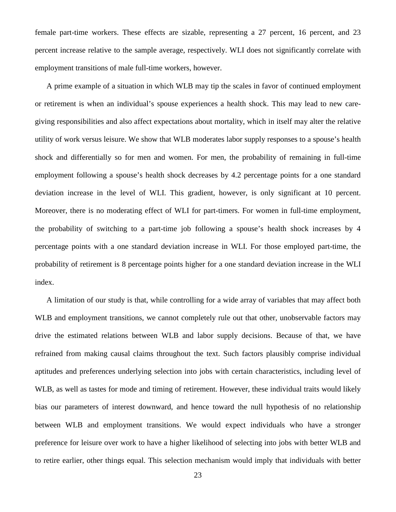female part-time workers. These effects are sizable, representing a 27 percent, 16 percent, and 23 percent increase relative to the sample average, respectively. WLI does not significantly correlate with employment transitions of male full-time workers, however.

 deviation increase in the level of WLI. This gradient, however, is only significant at 10 percent. the probability of switching to a part-time job following a spouse's health shock increases by 4 probability of retirement is 8 percentage points higher for a one standard deviation increase in the WLI A prime example of a situation in which WLB may tip the scales in favor of continued employment or retirement is when an individual's spouse experiences a health shock. This may lead to new caregiving responsibilities and also affect expectations about mortality, which in itself may alter the relative utility of work versus leisure. We show that WLB moderates labor supply responses to a spouse's health shock and differentially so for men and women. For men, the probability of remaining in full-time employment following a spouse's health shock decreases by 4.2 percentage points for a one standard Moreover, there is no moderating effect of WLI for part-timers. For women in full-time employment, percentage points with a one standard deviation increase in WLI. For those employed part-time, the index.

A limitation of our study is that, while controlling for a wide array of variables that may affect both WLB and employment transitions, we cannot completely rule out that other, unobservable factors may drive the estimated relations between WLB and labor supply decisions. Because of that, we have refrained from making causal claims throughout the text. Such factors plausibly comprise individual aptitudes and preferences underlying selection into jobs with certain characteristics, including level of WLB, as well as tastes for mode and timing of retirement. However, these individual traits would likely bias our parameters of interest downward, and hence toward the null hypothesis of no relationship between WLB and employment transitions. We would expect individuals who have a stronger preference for leisure over work to have a higher likelihood of selecting into jobs with better WLB and to retire earlier, other things equal. This selection mechanism would imply that individuals with better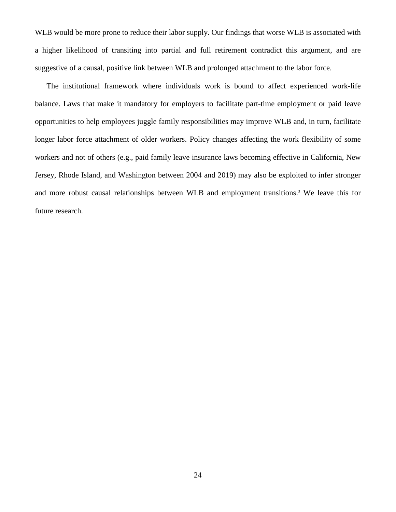WLB would be more prone to reduce their labor supply. Our findings that worse WLB is associated with a higher likelihood of transiting into partial and full retirement contradict this argument, and are suggestive of a causal, positive link between WLB and prolonged attachment to the labor force.

 longer labor force attachment of older workers. Policy changes affecting the work flexibility of some The institutional framework where individuals work is bound to affect experienced work-life balance. Laws that make it mandatory for employers to facilitate part-time employment or paid leave opportunities to help employees juggle family responsibilities may improve WLB and, in turn, facilitate workers and not of others (e.g., paid family leave insurance laws becoming effective in California, New Jersey, Rhode Island, and Washington between 2004 and 2019) may also be exploited to infer stronger and more robust causal relationships between WLB and employment transitions.3 We leave this for future research.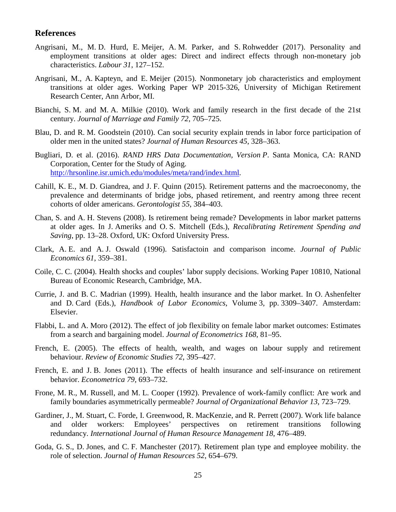## **References**

- Angrisani, M., M. D. Hurd, E. Meijer, A. M. Parker, and S. Rohwedder (2017). Personality and employment transitions at older ages: Direct and indirect effects through non-monetary job characteristics. *Labour 31*, 127–152.
- Angrisani, M., A. Kapteyn, and E. Meijer (2015). Nonmonetary job characteristics and employment transitions at older ages. Working Paper WP 2015-326, University of Michigan Retirement Research Center, Ann Arbor, MI.
- Bianchi, S. M. and M. A. Milkie (2010). Work and family research in the first decade of the 21st century. *Journal of Marriage and Family 72*, 705–725.
- Blau, D. and R. M. Goodstein (2010). Can social security explain trends in labor force participation of older men in the united states? *Journal of Human Resources 45*, 328–363.
- Bugliari, D. et al. (2016). *RAND HRS Data Documentation, Version P*. Santa Monica, CA: RAND Corporation, Center for the Study of Aging. [http://hrsonline.isr.umich.edu/modules/meta/rand/index.html.](http://hrsonline.isr.umich.edu/modules/meta/rand/index.html)
- Cahill, K. E., M. D. Giandrea, and J. F. Quinn (2015). Retirement patterns and the macroeconomy, the prevalence and determinants of bridge jobs, phased retirement, and reentry among three recent cohorts of older americans. *Gerontologist 55*, 384–403.
- Chan, S. and A. H. Stevens (2008). Is retirement being remade? Developments in labor market patterns at older ages. In J. Ameriks and O. S. Mitchell (Eds.), *Recalibrating Retirement Spending and Saving*, pp. 13–28. Oxford, UK: Oxford University Press.
- Clark, A. E. and A. J. Oswald (1996). Satisfactoin and comparison income. *Journal of Public Economics 61*, 359–381.
- Coile, C. C. (2004). Health shocks and couples' labor supply decisions. Working Paper 10810, National Bureau of Economic Research, Cambridge, MA.
- Currie, J. and B. C. Madrian (1999). Health, health insurance and the labor market. In O. Ashenfelter and D. Card (Eds.), *Handbook of Labor Economics*, Volume 3, pp. 3309–3407. Amsterdam: Elsevier.
- Flabbi, L. and A. Moro (2012). The effect of job flexibility on female labor market outcomes: Estimates from a search and bargaining model. *Journal of Econometrics 168*, 81–95.
- French, E. (2005). The effects of health, wealth, and wages on labour supply and retirement behaviour. *Review of Economic Studies 72*, 395–427.
- French, E. and J. B. Jones (2011). The effects of health insurance and self-insurance on retirement behavior. *Econometrica 79*, 693–732.
- Frone, M. R., M. Russell, and M. L. Cooper (1992). Prevalence of work-family conflict: Are work and family boundaries asymmetrically permeable? *Journal of Organizational Behavior 13*, 723–729.
- Gardiner, J., M. Stuart, C. Forde, I. Greenwood, R. MacKenzie, and R. Perrett (2007). Work life balance and older workers: Employees' perspectives on retirement transitions following redundancy. *International Journal of Human Resource Management 18*, 476–489.
- Goda, G. S., D. Jones, and C. F. Manchester (2017). Retirement plan type and employee mobility. the role of selection. *Journal of Human Resources 52*, 654–679.